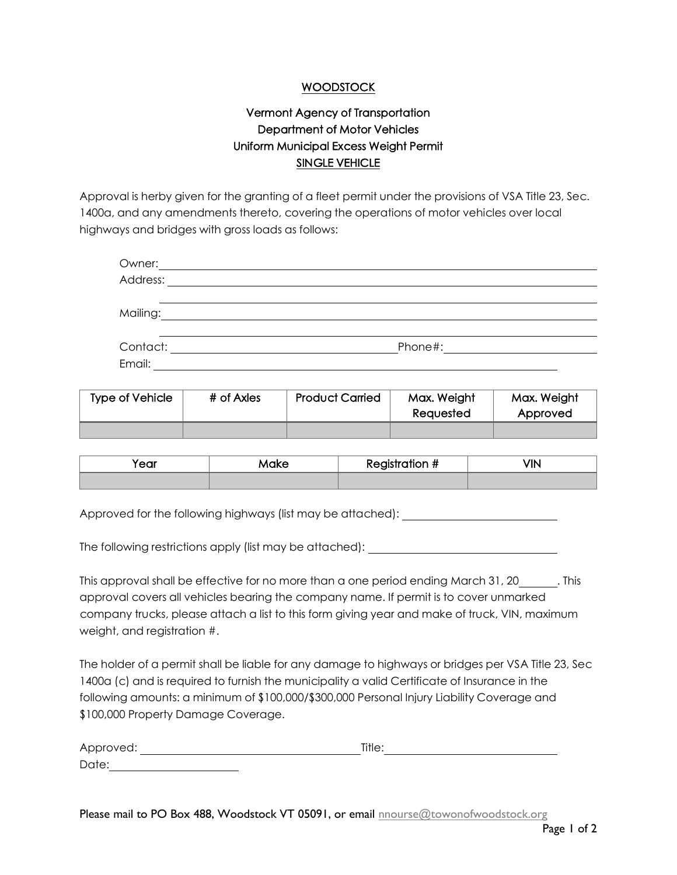## WOODSTOCK

## Vermont Agency of Transportation Department of Motor Vehicles Uniform Municipal Excess Weight Permit SINGLE VEHICLE

Approval is herby given for the granting of a fleet permit under the provisions of VSA Title 23, Sec. 1400a, and any amendments thereto, covering the operations of motor vehicles over local highways and bridges with gross loads as follows:

| Owner:   |         |  |
|----------|---------|--|
| Address: |         |  |
|          |         |  |
| Mailing: |         |  |
|          |         |  |
| Contact: | Phone#: |  |
| Email:   |         |  |
|          |         |  |

| <b>Type of Vehicle</b> | # of Axles | <b>Product Carried</b> | Max. Weight<br>Reauested | Max. Weight<br>Approved |
|------------------------|------------|------------------------|--------------------------|-------------------------|
|                        |            |                        |                          |                         |

| $\sim$<br>Make<br>ou. |  | Registration # | $\sqrt{1}$ |
|-----------------------|--|----------------|------------|
|                       |  |                |            |

Approved for the following highways (list may be attached):

The following restrictions apply (list may be attached):

This approval shall be effective for no more than a one period ending March 31, 20 . This approval covers all vehicles bearing the company name. If permit is to cover unmarked company trucks, please attach a list to this form giving year and make of truck, VIN, maximum weight, and registration #.

The holder of a permit shall be liable for any damage to highways or bridges per VSA Title 23, Sec 1400a (c) and is required to furnish the municipality a valid Certificate of Insurance in the following amounts: a minimum of \$100,000/\$300,000 Personal Injury Liability Coverage and \$100,000 Property Damage Coverage.

| Approved: |  | Title. |  |
|-----------|--|--------|--|
| Date:     |  |        |  |

Please mail to PO Box 488, Woodstock VT 05091, or email [nnourse@towonofwoodstock.org](mailto:nnourse@towonofwoodstock.org)